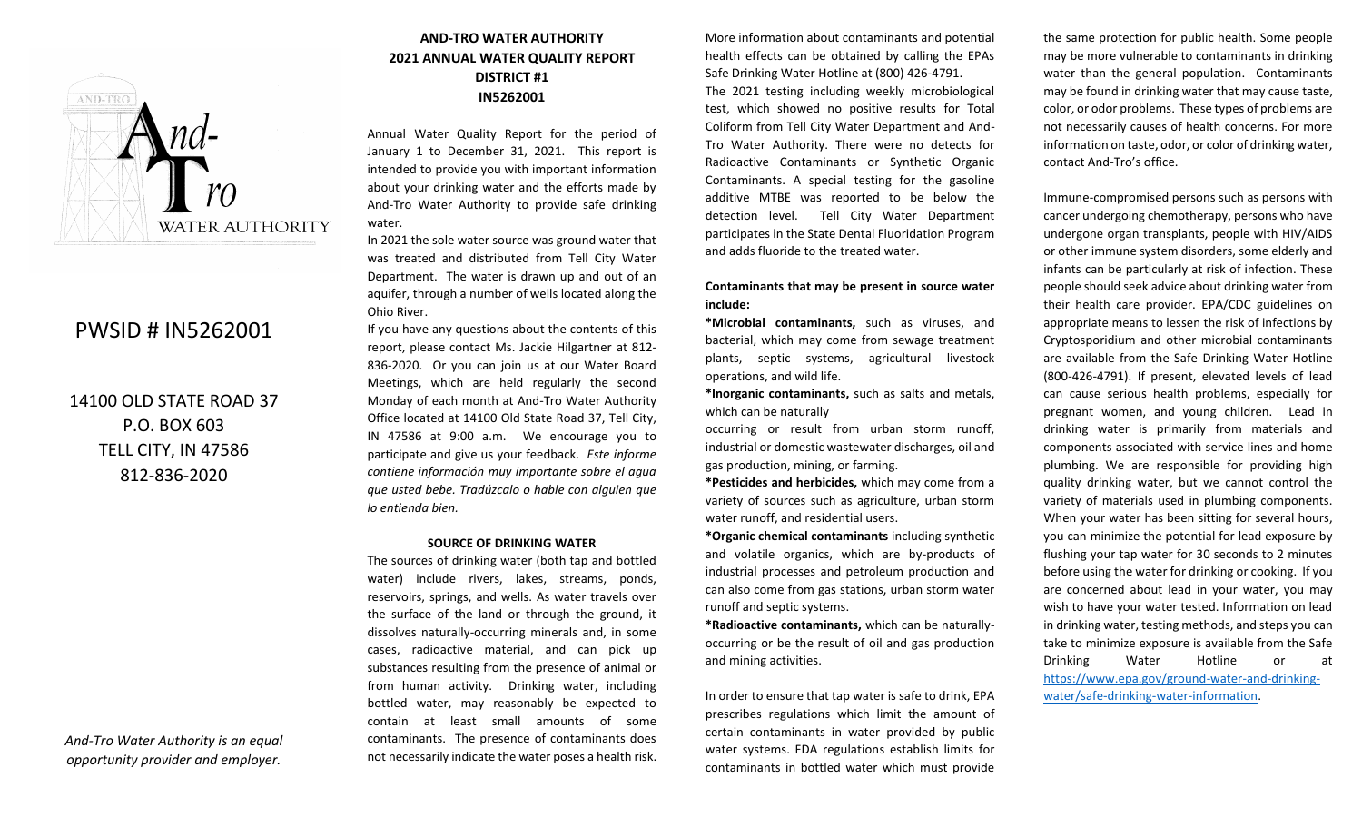

# PWSID # IN5262001

14100 OLD STATE ROAD 37 P.O. BOX 603 TELL CITY, IN 47586 812-836-2020

*And-Tro Water Authority is an equal opportunity provider and employer.*

## **AND-TRO WATER AUTHORITY 2021 ANNUAL WATER QUALITY REPORT DISTRICT #1 IN5262001**

Annual Water Quality Report for the period of January 1 to December 31, 2021. This report is intended to provide you with important information about your drinking water and the efforts made by And-Tro Water Authority to provide safe drinking water.

In 2021 the sole water source was ground water that was treated and distributed from Tell City Water Department. The water is drawn up and out of an aquifer, through a number of wells located along the Ohio River.

If you have any questions about the contents of this report, please contact Ms. Jackie Hilgartner at 812- 836-2020. Or you can join us at our Water Board Meetings, which are held regularly the second Monday of each month at And-Tro Water Authority Office located at 14100 Old State Road 37, Tell City, IN 47586 at 9:00 a.m. We encourage you to participate and give us your feedback. *Este informe contiene información muy importante sobre el agua que usted bebe. Tradúzcalo o hable con alguien que lo entienda bien.*

#### **SOURCE OF DRINKING WATER**

The sources of drinking water (both tap and bottled water) include rivers, lakes, streams, ponds, reservoirs, springs, and wells. As water travels over the surface of the land or through the ground, it dissolves naturally-occurring minerals and, in some cases, radioactive material, and can pick up substances resulting from the presence of animal or from human activity. Drinking water, including bottled water, may reasonably be expected to contain at least small amounts of some contaminants. The presence of contaminants does not necessarily indicate the water poses a health risk.

More information about contaminants and potential health effects can be obtained by calling the EPAs Safe Drinking Water Hotline at (800) 426-4791. The 2021 testing including weekly microbiological test, which showed no positive results for Total Coliform from Tell City Water Department and And-Tro Water Authority. There were no detects for Radioactive Contaminants or Synthetic Organic Contaminants. A special testing for the gasoline additive MTBE was reported to be below the detection level. Tell City Water Department participates in the State Dental Fluoridation Program and adds fluoride to the treated water.

#### **Contaminants that may be present in source water include:**

**\*Microbial contaminants,** such as viruses, and bacterial, which may come from sewage treatment plants, septic systems, agricultural livestock operations, and wild life.

**\*Inorganic contaminants,** such as salts and metals, which can be naturally

occurring or result from urban storm runoff, industrial or domestic wastewater discharges, oil and gas production, mining, or farming.

**\*Pesticides and herbicides,** which may come from a variety of sources such as agriculture, urban storm water runoff, and residential users.

**\*Organic chemical contaminants** including synthetic and volatile organics, which are by-products of industrial processes and petroleum production and can also come from gas stations, urban storm water runoff and septic systems.

**\*Radioactive contaminants,** which can be naturallyoccurring or be the result of oil and gas production and mining activities.

In order to ensure that tap water is safe to drink, EPA prescribes regulations which limit the amount of certain contaminants in water provided by public water systems. FDA regulations establish limits for contaminants in bottled water which must provide the same protection for public health. Some people may be more vulnerable to contaminants in drinking water than the general population. Contaminants may be found in drinking water that may cause taste, color, or odor problems. These types of problems are not necessarily causes of health concerns. For more information on taste, odor, or color of drinking water, contact And-Tro's office.

Immune-compromised persons such as persons with cancer undergoing chemotherapy, persons who have undergone organ transplants, people with HIV/AIDS or other immune system disorders, some elderly and infants can be particularly at risk of infection. These people should seek advice about drinking water from their health care provider. EPA/CDC guidelines on appropriate means to lessen the risk of infections by Cryptosporidium and other microbial contaminants are available from the Safe Drinking Water Hotline (800-426-4791). If present, elevated levels of lead can cause serious health problems, especially for pregnant women, and young children. Lead in drinking water is primarily from materials and components associated with service lines and home plumbing. We are responsible for providing high quality drinking water, but we cannot control the variety of materials used in plumbing components. When your water has been sitting for several hours, you can minimize the potential for lead exposure by flushing your tap water for 30 seconds to 2 minutes before using the water for drinking or cooking. If you are concerned about lead in your water, you may wish to have your water tested. Information on lead in drinking water, testing methods, and steps you can take to minimize exposure is available from the Safe Drinking Water Hotline or at [https://www.epa.gov/ground-water-and-drinking](https://www.epa.gov/ground-water-and-drinking-water/safe-drinking-water-information)[water/safe-drinking-water-information.](https://www.epa.gov/ground-water-and-drinking-water/safe-drinking-water-information)